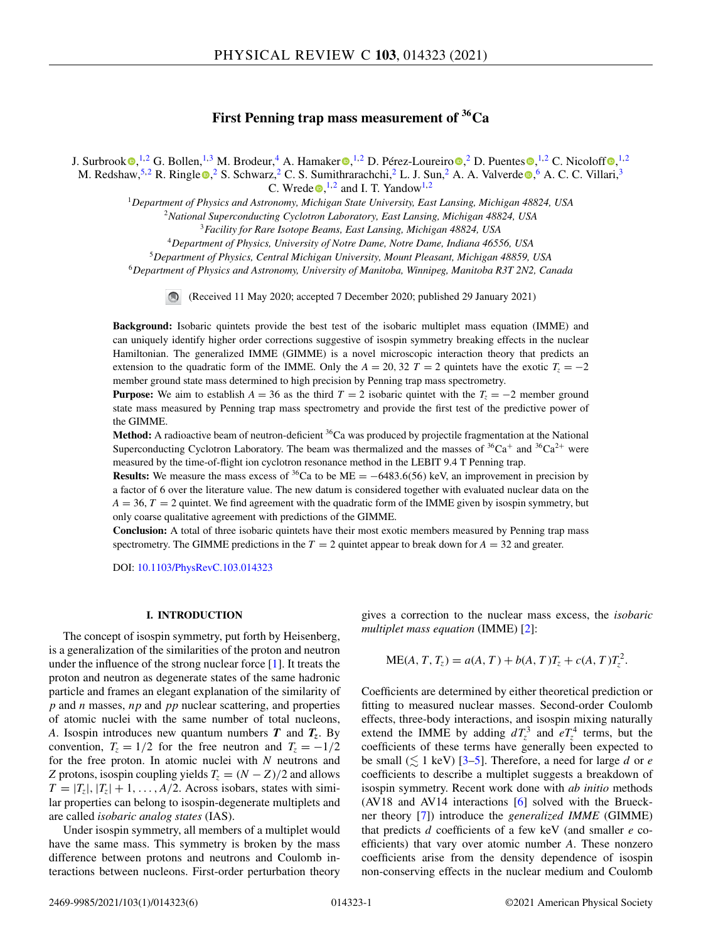# **First Penning trap mass measurement of 36Ca**

J. Surbroo[k](https://orcid.org/0000-0003-3794-0269)  $\bigcirc$ [,](https://orcid.org/0000-0001-7006-9407) <sup>1,2</sup> G. Bollen, <sup>1,3</sup> M. Brodeur, <sup>4</sup> A. Hamaker  $\bigcirc$ , <sup>1,2</sup> D. Pérez-Loureiro  $\bigcirc$ , <sup>2</sup> D. Puentes  $\bigcirc$ , <sup>1,2</sup> C. Nicoloff  $\bigcirc$ , <sup>1,2</sup> M. Redshaw[,](https://orcid.org/0000-0002-7478-259X)<sup>5,2</sup> R. Ringl[e](https://orcid.org/0000-0002-9118-6589) **.**<sup>2</sup> S. Schwarz,<sup>2</sup> C. S. Sumithrarachchi,<sup>2</sup> L. J. Sun,<sup>2</sup> A. A. Valverde .<sup>6</sup> A. C. C. Villari,<sup>3</sup>

C. Wr[e](https://orcid.org/0000-0002-2588-1874)de  $\bullet$ , <sup>1,2</sup> and I. T. Yandow<sup>1,2</sup>

<sup>1</sup>*Department of Physics and Astronomy, Michigan State University, East Lansing, Michigan 48824, USA*

<sup>2</sup>*National Superconducting Cyclotron Laboratory, East Lansing, Michigan 48824, USA*

<sup>3</sup>*Facility for Rare Isotope Beams, East Lansing, Michigan 48824, USA*

<sup>4</sup>*Department of Physics, University of Notre Dame, Notre Dame, Indiana 46556, USA*

<sup>5</sup>*Department of Physics, Central Michigan University, Mount Pleasant, Michigan 48859, USA*

<sup>6</sup>*Department of Physics and Astronomy, University of Manitoba, Winnipeg, Manitoba R3T 2N2, Canada*

(Received 11 May 2020; accepted 7 December 2020; published 29 January 2021)

**Background:** Isobaric quintets provide the best test of the isobaric multiplet mass equation (IMME) and can uniquely identify higher order corrections suggestive of isospin symmetry breaking effects in the nuclear Hamiltonian. The generalized IMME (GIMME) is a novel microscopic interaction theory that predicts an extension to the quadratic form of the IMME. Only the  $A = 20, 32$  *T* = 2 quintets have the exotic  $T<sub>z</sub> = -2$ member ground state mass determined to high precision by Penning trap mass spectrometry.

**Purpose:** We aim to establish  $A = 36$  as the third  $T = 2$  isobaric quintet with the  $T<sub>z</sub> = -2$  member ground state mass measured by Penning trap mass spectrometry and provide the first test of the predictive power of the GIMME.

**Method:** A radioactive beam of neutron-deficient <sup>36</sup>Ca was produced by projectile fragmentation at the National Superconducting Cyclotron Laboratory. The beam was thermalized and the masses of  ${}^{36}Ca^+$  and  ${}^{36}Ca^{2+}$  were measured by the time-of-flight ion cyclotron resonance method in the LEBIT 9.4 T Penning trap.

**Results:** We measure the mass excess of <sup>36</sup>Ca to be ME =  $-6483.6(56)$  keV, an improvement in precision by a factor of 6 over the literature value. The new datum is considered together with evaluated nuclear data on the  $A = 36$ ,  $T = 2$  quintet. We find agreement with the quadratic form of the IMME given by isospin symmetry, but only coarse qualitative agreement with predictions of the GIMME.

**Conclusion:** A total of three isobaric quintets have their most exotic members measured by Penning trap mass spectrometry. The GIMME predictions in the  $T = 2$  quintet appear to break down for  $A = 32$  and greater.

DOI: [10.1103/PhysRevC.103.014323](https://doi.org/10.1103/PhysRevC.103.014323)

# **I. INTRODUCTION**

The concept of isospin symmetry, put forth by Heisenberg, is a generalization of the similarities of the proton and neutron under the influence of the strong nuclear force  $[1]$ . It treats the proton and neutron as degenerate states of the same hadronic particle and frames an elegant explanation of the similarity of *p* and *n* masses, *np* and *pp* nuclear scattering, and properties of atomic nuclei with the same number of total nucleons, *A*. Isospin introduces new quantum numbers *T* and *Tz*. By convention,  $T_z = 1/2$  for the free neutron and  $T_z = -1/2$ for the free proton. In atomic nuclei with *N* neutrons and *Z* protons, isospin coupling yields  $T_z = (N - Z)/2$  and allows  $T = |T_z|, |T_z| + 1, \ldots, A/2$ . Across isobars, states with similar properties can belong to isospin-degenerate multiplets and are called *isobaric analog states* (IAS).

Under isospin symmetry, all members of a multiplet would have the same mass. This symmetry is broken by the mass difference between protons and neutrons and Coulomb interactions between nucleons. First-order perturbation theory gives a correction to the nuclear mass excess, the *isobaric multiplet mass equation* (IMME) [\[2\]](#page-4-0):

$$
ME(A, T, T_z) = a(A, T) + b(A, T)T_z + c(A, T)T_z^2.
$$

Coefficients are determined by either theoretical prediction or fitting to measured nuclear masses. Second-order Coulomb effects, three-body interactions, and isospin mixing naturally extend the IMME by adding  $dT_z^3$  and  $eT_z^4$  terms, but the coefficients of these terms have generally been expected to be small  $(\leq 1 \text{ keV})$  [\[3–5\]](#page-4-0). Therefore, a need for large *d* or *e* coefficients to describe a multiplet suggests a breakdown of isospin symmetry. Recent work done with *ab initio* methods (AV18 and AV14 interactions [\[6\]](#page-4-0) solved with the Brueckner theory [\[7\]](#page-4-0)) introduce the *generalized IMME* (GIMME) that predicts *d* coefficients of a few keV (and smaller *e* coefficients) that vary over atomic number *A*. These nonzero coefficients arise from the density dependence of isospin non-conserving effects in the nuclear medium and Coulomb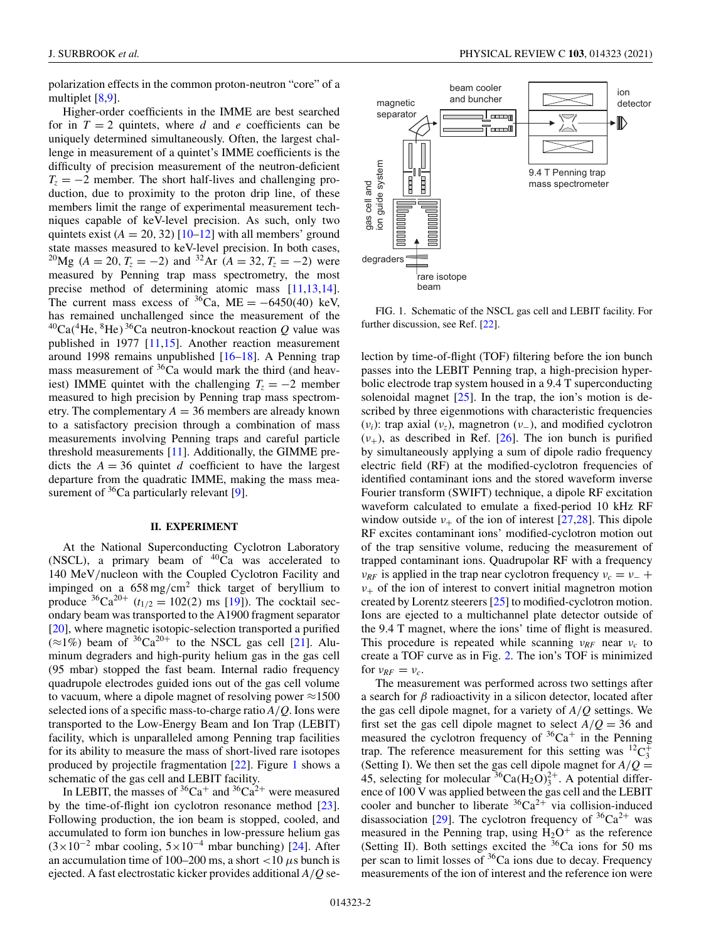polarization effects in the common proton-neutron "core" of a multiplet [\[8,9\]](#page-4-0).

Higher-order coefficients in the IMME are best searched for in  $T = 2$  quintets, where *d* and *e* coefficients can be uniquely determined simultaneously. Often, the largest challenge in measurement of a quintet's IMME coefficients is the difficulty of precision measurement of the neutron-deficient  $T_z = -2$  member. The short half-lives and challenging production, due to proximity to the proton drip line, of these members limit the range of experimental measurement techniques capable of keV-level precision. As such, only two quintets exist  $(A = 20, 32)$  [\[10–12\]](#page-4-0) with all members' ground state masses measured to keV-level precision. In both cases, <sup>20</sup>Mg (*A* = 20, *T<sub>z</sub>* = −2) and <sup>32</sup>Ar (*A* = 32, *T<sub>z</sub>* = −2) were measured by Penning trap mass spectrometry, the most precise method of determining atomic mass [\[11,13,14\]](#page-4-0). The current mass excess of  ${}^{36}Ca$ , ME = −6450(40) keV, has remained unchallenged since the measurement of the  $^{40}Ca(^{4}He, ^{8}He)$ <sup>36</sup>Ca neutron-knockout reaction *Q* value was published in 1977 [\[11,15\]](#page-4-0). Another reaction measurement around 1998 remains unpublished [\[16–18\]](#page-4-0). A Penning trap mass measurement of  $36$ Ca would mark the third (and heaviest) IMME quintet with the challenging  $T_z = -2$  member measured to high precision by Penning trap mass spectrometry. The complementary  $A = 36$  members are already known to a satisfactory precision through a combination of mass measurements involving Penning traps and careful particle threshold measurements [\[11\]](#page-4-0). Additionally, the GIMME predicts the  $A = 36$  quintet *d* coefficient to have the largest departure from the quadratic IMME, making the mass measurement of  ${}^{36}Ca$  particularly relevant [\[9\]](#page-4-0).

#### **II. EXPERIMENT**

At the National Superconducting Cyclotron Laboratory (NSCL), a primary beam of  ${}^{40}Ca$  was accelerated to 140 MeV/nucleon with the Coupled Cyclotron Facility and impinged on a 658 mg/cm<sup>2</sup> thick target of beryllium to produce  ${}^{36}Ca^{20+}$  (*t*<sub>1/2</sub> = 102(2) ms [\[19\]](#page-5-0)). The cocktail secondary beam was transported to the A1900 fragment separator [\[20\]](#page-5-0), where magnetic isotopic-selection transported a purified  $(\approx 1\%)$  beam of <sup>36</sup>Ca<sup>20+</sup> to the NSCL gas cell [\[21\]](#page-5-0). Aluminum degraders and high-purity helium gas in the gas cell (95 mbar) stopped the fast beam. Internal radio frequency quadrupole electrodes guided ions out of the gas cell volume to vacuum, where a dipole magnet of resolving power  $\approx$ 1500 selected ions of a specific mass-to-charge ratio *A*/*Q*. Ions were transported to the Low-Energy Beam and Ion Trap (LEBIT) facility, which is unparalleled among Penning trap facilities for its ability to measure the mass of short-lived rare isotopes produced by projectile fragmentation [\[22\]](#page-5-0). Figure 1 shows a schematic of the gas cell and LEBIT facility.

In LEBIT, the masses of  ${}^{36}Ca^+$  and  ${}^{36}Ca^{2+}$  were measured by the time-of-flight ion cyclotron resonance method [\[23\]](#page-5-0). Following production, the ion beam is stopped, cooled, and accumulated to form ion bunches in low-pressure helium gas  $(3\times10^{-2}$  mbar cooling,  $5\times10^{-4}$  mbar bunching) [\[24\]](#page-5-0). After an accumulation time of 100–200 ms, a short <10  $\mu$ s bunch is ejected. A fast electrostatic kicker provides additional *A*/*Q* se-



FIG. 1. Schematic of the NSCL gas cell and LEBIT facility. For further discussion, see Ref. [\[22\]](#page-5-0).

lection by time-of-flight (TOF) filtering before the ion bunch passes into the LEBIT Penning trap, a high-precision hyperbolic electrode trap system housed in a 9.4 T superconducting solenoidal magnet  $[25]$ . In the trap, the ion's motion is described by three eigenmotions with characteristic frequencies (ν*i*): trap axial (ν*z*), magnetron (ν−), and modified cyclotron  $(v_{+})$ , as described in Ref. [\[26\]](#page-5-0). The ion bunch is purified by simultaneously applying a sum of dipole radio frequency electric field (RF) at the modified-cyclotron frequencies of identified contaminant ions and the stored waveform inverse Fourier transform (SWIFT) technique, a dipole RF excitation waveform calculated to emulate a fixed-period 10 kHz RF window outside  $v_+$  of the ion of interest [\[27,28\]](#page-5-0). This dipole RF excites contaminant ions' modified-cyclotron motion out of the trap sensitive volume, reducing the measurement of trapped contaminant ions. Quadrupolar RF with a frequency  $v_{RF}$  is applied in the trap near cyclotron frequency  $v_c = v_+$  $v_{+}$  of the ion of interest to convert initial magnetron motion created by Lorentz steerers [\[25\]](#page-5-0) to modified-cyclotron motion. Ions are ejected to a multichannel plate detector outside of the 9.4 T magnet, where the ions' time of flight is measured. This procedure is repeated while scanning ν*RF* near ν*<sup>c</sup>* to create a TOF curve as in Fig. [2.](#page-2-0) The ion's TOF is minimized for  $\nu_{RF} = \nu_c$ .

The measurement was performed across two settings after a search for  $\beta$  radioactivity in a silicon detector, located after the gas cell dipole magnet, for a variety of *A*/*Q* settings. We first set the gas cell dipole magnet to select  $A/Q = 36$  and measured the cyclotron frequency of  ${}^{36}Ca^+$  in the Penning trap. The reference measurement for this setting was  ${}^{12}C_3^+$ (Setting I). We then set the gas cell dipole magnet for  $A/Q =$ 45, selecting for molecular  ${}^{36}Ca(H_2O)_3^{2+}$ . A potential difference of 100 V was applied between the gas cell and the LEBIT cooler and buncher to liberate  ${}^{36}Ca^{2+}$  via collision-induced disassociation [\[29\]](#page-5-0). The cyclotron frequency of  ${}^{36}Ca^{2+}$  was measured in the Penning trap, using  $H_2O^+$  as the reference (Setting II). Both settings excited the  $36$ Ca ions for 50 ms per scan to limit losses of <sup>36</sup>Ca ions due to decay. Frequency measurements of the ion of interest and the reference ion were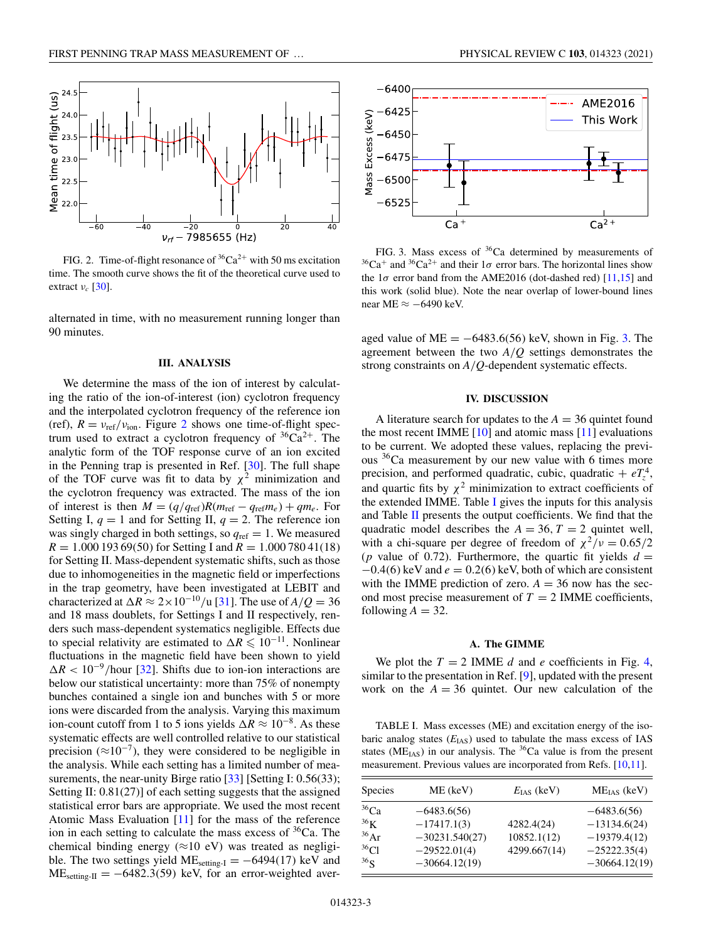<span id="page-2-0"></span>

FIG. 2. Time-of-flight resonance of  ${}^{36}Ca^{2+}$  with 50 ms excitation time. The smooth curve shows the fit of the theoretical curve used to extract  $v_c$  [\[30\]](#page-5-0).

alternated in time, with no measurement running longer than 90 minutes.

#### **III. ANALYSIS**

We determine the mass of the ion of interest by calculating the ratio of the ion-of-interest (ion) cyclotron frequency and the interpolated cyclotron frequency of the reference ion (ref),  $R = v_{ref}/v_{ion}$ . Figure 2 shows one time-of-flight spectrum used to extract a cyclotron frequency of  ${}^{36}Ca^{2+}$ . The analytic form of the TOF response curve of an ion excited in the Penning trap is presented in Ref. [\[30\]](#page-5-0). The full shape of the TOF curve was fit to data by  $\chi^2$  minimization and the cyclotron frequency was extracted. The mass of the ion of interest is then  $M = (q/q_{\text{ref}})R(m_{\text{ref}} - q_{\text{ref}}m_e) + qm_e$ . For Setting I,  $q = 1$  and for Setting II,  $q = 2$ . The reference ion was singly charged in both settings, so  $q_{ref} = 1$ . We measured  $R = 1.000 193 69(50)$  for Setting I and  $R = 1.000 780 41(18)$ for Setting II. Mass-dependent systematic shifts, such as those due to inhomogeneities in the magnetic field or imperfections in the trap geometry, have been investigated at LEBIT and characterized at  $\Delta R \approx 2 \times 10^{-10}$ /u [\[31\]](#page-5-0). The use of  $A/Q = 36$ and 18 mass doublets, for Settings I and II respectively, renders such mass-dependent systematics negligible. Effects due to special relativity are estimated to  $\Delta R \leq 10^{-11}$ . Nonlinear fluctuations in the magnetic field have been shown to yield  $\Delta R < 10^{-9}$ /hour [\[32\]](#page-5-0). Shifts due to ion-ion interactions are below our statistical uncertainty: more than 75% of nonempty bunches contained a single ion and bunches with 5 or more ions were discarded from the analysis. Varying this maximum ion-count cutoff from 1 to 5 ions yields  $\Delta R \approx 10^{-8}$ . As these systematic effects are well controlled relative to our statistical precision ( $\approx 10^{-7}$ ), they were considered to be negligible in the analysis. While each setting has a limited number of mea-surements, the near-unity Birge ratio [\[33\]](#page-5-0) [Setting I: 0.56(33); Setting II: 0.81(27)] of each setting suggests that the assigned statistical error bars are appropriate. We used the most recent Atomic Mass Evaluation [\[11\]](#page-4-0) for the mass of the reference ion in each setting to calculate the mass excess of  ${}^{36}Ca$ . The chemical binding energy ( $\approx$ 10 eV) was treated as negligible. The two settings yield ME<sub>setting-I</sub> =  $-6494(17)$  keV and  $ME_{\text{setting-II}} = -6482.3(59)$  keV, for an error-weighted aver-



FIG. 3. Mass excess of <sup>36</sup>Ca determined by measurements of  $36Ca<sup>+</sup>$  and  $36Ca<sup>2+</sup>$  and their  $1\sigma$  error bars. The horizontal lines show the  $1\sigma$  error band from the AME2016 (dot-dashed red) [\[11,15\]](#page-4-0) and this work (solid blue). Note the near overlap of lower-bound lines near ME ≈ −6490 keV.

aged value of  $ME = -6483.6(56)$  keV, shown in Fig. 3. The agreement between the two *A*/*Q* settings demonstrates the strong constraints on *A*/*Q*-dependent systematic effects.

# **IV. DISCUSSION**

A literature search for updates to the  $A = 36$  quintet found the most recent IMME  $[10]$  and atomic mass  $[11]$  evaluations to be current. We adopted these values, replacing the previous  $36$ Ca measurement by our new value with 6 times more precision, and performed quadratic, cubic, quadratic +  $eT_z^4$ , and quartic fits by  $\chi^2$  minimization to extract coefficients of the extended IMME. Table I gives the inputs for this analysis and Table [II](#page-3-0) presents the output coefficients. We find that the quadratic model describes the  $A = 36$ ,  $T = 2$  quintet well, with a chi-square per degree of freedom of  $\chi^2/\nu = 0.65/2$ (*p* value of 0.72). Furthermore, the quartic fit yields  $d =$  $-0.4(6)$  keV and  $e = 0.2(6)$  keV, both of which are consistent with the IMME prediction of zero.  $A = 36$  now has the second most precise measurement of  $T = 2$  IMME coefficients, following  $A = 32$ .

## **A. The GIMME**

We plot the  $T = 2$  IMME *d* and *e* coefficients in Fig. [4,](#page-3-0) similar to the presentation in Ref. [\[9\]](#page-4-0), updated with the present work on the  $A = 36$  quintet. Our new calculation of the

TABLE I. Mass excesses (ME) and excitation energy of the isobaric analog states ( $E$ <sub>IAS</sub>) used to tabulate the mass excess of IAS states ( $ME<sub>IAS</sub>$ ) in our analysis. The <sup>36</sup>Ca value is from the present measurement. Previous values are incorporated from Refs. [\[10,11\]](#page-4-0).

| ME (keV)                                                             | $E_{\text{IAS}}$ (keV)                    | $ME_{IAS}$ (keV)                                                                       |
|----------------------------------------------------------------------|-------------------------------------------|----------------------------------------------------------------------------------------|
| $-6483.6(56)$<br>$-17417.1(3)$<br>$-30231.540(27)$<br>$-29522.01(4)$ | 4282.4(24)<br>10852.1(12)<br>4299.667(14) | $-6483.6(56)$<br>$-13134.6(24)$<br>$-19379.4(12)$<br>$-25222.35(4)$<br>$-30664.12(19)$ |
|                                                                      | $-30664.12(19)$                           |                                                                                        |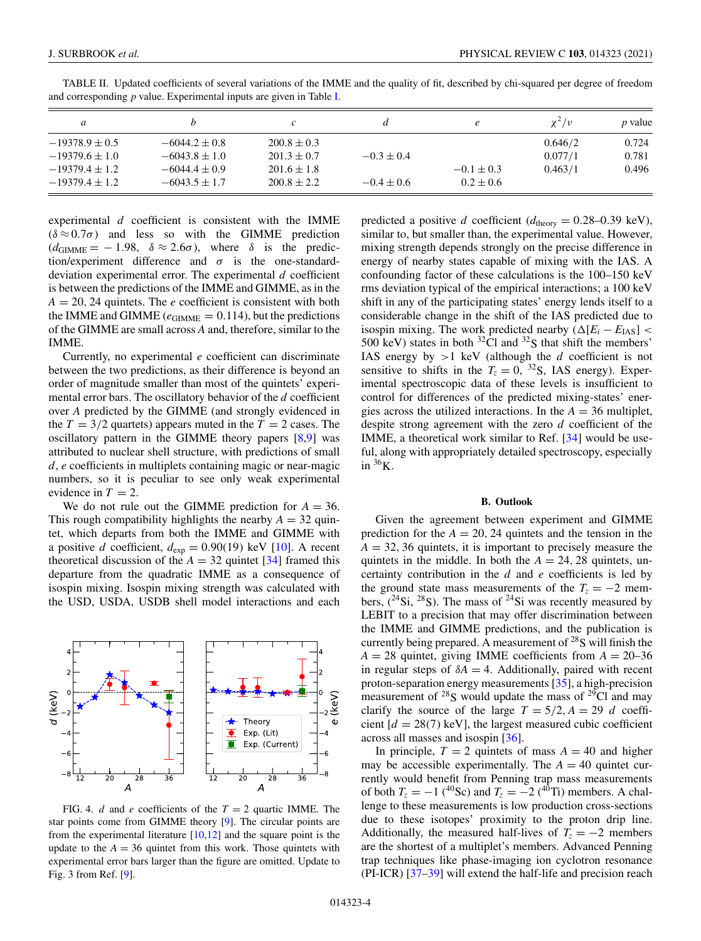| a                  |                   | c               |                |                | $\chi^2/\nu$ | <i>p</i> value |
|--------------------|-------------------|-----------------|----------------|----------------|--------------|----------------|
| $-19378.9 \pm 0.5$ | $-6044.2 \pm 0.8$ | $200.8 \pm 0.3$ |                |                | 0.646/2      | 0.724          |
| $-19379.6 \pm 1.0$ | $-6043.8 \pm 1.0$ | $201.3 \pm 0.7$ | $-0.3 \pm 0.4$ |                | 0.077/1      | 0.781          |
| $-19379.4 \pm 1.2$ | $-6044.4 \pm 0.9$ | $201.6 \pm 1.8$ |                | $-0.1 \pm 0.3$ | 0.463/1      | 0.496          |
| $-19379.4 \pm 1.2$ | $-6043.5 \pm 1.7$ | $200.8 \pm 2.2$ | $-0.4 \pm 0.6$ | $0.2 \pm 0.6$  |              |                |

<span id="page-3-0"></span>TABLE II. Updated coefficients of several variations of the IMME and the quality of fit, described by chi-squared per degree of freedom and corresponding *p* value. Experimental inputs are given in Table [I.](#page-2-0)

experimental *d* coefficient is consistent with the IMME  $(\delta \approx 0.7\sigma)$  and less so with the GIMME prediction  $(d_{\text{GIMME}} = -1.98, \delta \approx 2.6\sigma)$ , where  $\delta$  is the prediction/experiment difference and  $\sigma$  is the one-standarddeviation experimental error. The experimental *d* coefficient is between the predictions of the IMME and GIMME, as in the  $A = 20$ , 24 quintets. The *e* coefficient is consistent with both the IMME and GIMME ( $e$ <sub>GIMME</sub> = 0.114), but the predictions of the GIMME are small across *A* and, therefore, similar to the IMME.

Currently, no experimental *e* coefficient can discriminate between the two predictions, as their difference is beyond an order of magnitude smaller than most of the quintets' experimental error bars. The oscillatory behavior of the *d* coefficient over *A* predicted by the GIMME (and strongly evidenced in the  $T = 3/2$  quartets) appears muted in the  $T = 2$  cases. The oscillatory pattern in the GIMME theory papers [\[8,9\]](#page-4-0) was attributed to nuclear shell structure, with predictions of small *d*, *e* coefficients in multiplets containing magic or near-magic numbers, so it is peculiar to see only weak experimental evidence in  $T = 2$ .

We do not rule out the GIMME prediction for  $A = 36$ . This rough compatibility highlights the nearby  $A = 32$  quintet, which departs from both the IMME and GIMME with a positive *d* coefficient,  $d_{exp} = 0.90(19)$  keV [\[10\]](#page-4-0). A recent theoretical discussion of the  $A = 32$  quintet [\[34\]](#page-5-0) framed this departure from the quadratic IMME as a consequence of isospin mixing. Isospin mixing strength was calculated with the USD, USDA, USDB shell model interactions and each



FIG. 4. *d* and *e* coefficients of the  $T = 2$  quartic IMME. The star points come from GIMME theory [\[9\]](#page-4-0). The circular points are from the experimental literature  $[10,12]$  and the square point is the update to the  $A = 36$  quintet from this work. Those quintets with experimental error bars larger than the figure are omitted. Update to Fig. 3 from Ref. [\[9\]](#page-4-0).

predicted a positive *d* coefficient ( $d_{\text{theory}} = 0.28{\text -}0.39 \text{ keV}$ ), similar to, but smaller than, the experimental value. However, mixing strength depends strongly on the precise difference in energy of nearby states capable of mixing with the IAS. A confounding factor of these calculations is the 100–150 keV rms deviation typical of the empirical interactions; a 100 keV shift in any of the participating states' energy lends itself to a considerable change in the shift of the IAS predicted due to isospin mixing. The work predicted nearby  $(\Delta[E_i - E_{\text{IAS}}]$  < 500 keV) states in both  ${}^{32}$ Cl and  ${}^{32}$ S that shift the members' IAS energy by  $>1$  keV (although the *d* coefficient is not sensitive to shifts in the  $T_z = 0$ , <sup>32</sup>S, IAS energy). Experimental spectroscopic data of these levels is insufficient to control for differences of the predicted mixing-states' energies across the utilized interactions. In the  $A = 36$  multiplet, despite strong agreement with the zero *d* coefficient of the IMME, a theoretical work similar to Ref. [\[34\]](#page-5-0) would be useful, along with appropriately detailed spectroscopy, especially in  $36$ K.

## **B. Outlook**

Given the agreement between experiment and GIMME prediction for the  $A = 20$ , 24 quintets and the tension in the  $A = 32, 36$  quintets, it is important to precisely measure the quintets in the middle. In both the  $A = 24, 28$  quintets, uncertainty contribution in the *d* and *e* coefficients is led by the ground state mass measurements of the  $T_z = -2$  members,  $(^{24}Si, \frac{28}{\text{S}}S)$ . The mass of  $^{24}Si$  was recently measured by LEBIT to a precision that may offer discrimination between the IMME and GIMME predictions, and the publication is currently being prepared. A measurement of  $^{28}$ S will finish the  $A = 28$  quintet, giving IMME coefficients from  $A = 20-36$ in regular steps of  $\delta A = 4$ . Additionally, paired with recent proton-separation energy measurements [\[35\]](#page-5-0), a high-precision measurement of  $^{28}$ S would update the mass of  $^{29}$ Cl and may clarify the source of the large  $T = 5/2$ ,  $A = 29$  *d* coefficient  $[d = 28(7) \text{ keV}]$ , the largest measured cubic coefficient across all masses and isospin [\[36\]](#page-5-0).

In principle,  $T = 2$  quintets of mass  $A = 40$  and higher may be accessible experimentally. The  $A = 40$  quintet currently would benefit from Penning trap mass measurements of both  $T_z = -1$  (<sup>40</sup>Sc) and  $T_z = -2$  (<sup>40</sup>Ti) members. A challenge to these measurements is low production cross-sections due to these isotopes' proximity to the proton drip line. Additionally, the measured half-lives of  $T_z = -2$  members are the shortest of a multiplet's members. Advanced Penning trap techniques like phase-imaging ion cyclotron resonance (PI-ICR) [\[37–39\]](#page-5-0) will extend the half-life and precision reach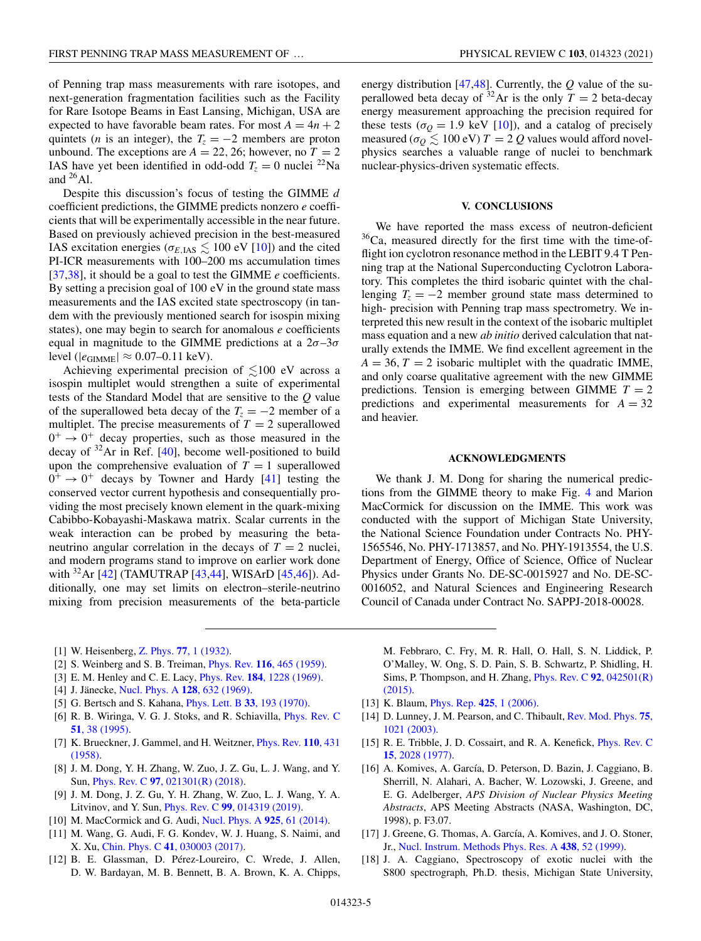<span id="page-4-0"></span>of Penning trap mass measurements with rare isotopes, and next-generation fragmentation facilities such as the Facility for Rare Isotope Beams in East Lansing, Michigan, USA are expected to have favorable beam rates. For most  $A = 4n + 2$ quintets (*n* is an integer), the  $T_z = -2$  members are proton unbound. The exceptions are  $A = 22, 26$ ; however, no  $T = 2$ IAS have yet been identified in odd-odd  $T_z = 0$  nuclei <sup>22</sup>Na and  $^{26}$ Al.

Despite this discussion's focus of testing the GIMME *d* coefficient predictions, the GIMME predicts nonzero *e* coefficients that will be experimentally accessible in the near future. Based on previously achieved precision in the best-measured IAS excitation energies ( $\sigma_{E, {\rm IAS}} \lesssim 100 \text{ eV}$  [10]) and the cited PI-ICR measurements with 100–200 ms accumulation times [\[37,38\]](#page-5-0), it should be a goal to test the GIMME *e* coefficients. By setting a precision goal of 100 eV in the ground state mass measurements and the IAS excited state spectroscopy (in tandem with the previously mentioned search for isospin mixing states), one may begin to search for anomalous *e* coefficients equal in magnitude to the GIMME predictions at a  $2\sigma$ -3 $\sigma$ level ( $|e_{\text{GIMME}}| \approx 0.07{\text -}0.11 \text{ keV}$ ).

Achieving experimental precision of  $\lesssim$ 100 eV across a isospin multiplet would strengthen a suite of experimental tests of the Standard Model that are sensitive to the *Q* value of the superallowed beta decay of the  $T_z = -2$  member of a multiplet. The precise measurements of  $T = 2$  superallowed  $0^+ \rightarrow 0^+$  decay properties, such as those measured in the decay of  $32$ Ar in Ref. [\[40\]](#page-5-0), become well-positioned to build upon the comprehensive evaluation of  $T = 1$  superallowed  $0^+ \rightarrow 0^+$  decays by Towner and Hardy [\[41\]](#page-5-0) testing the conserved vector current hypothesis and consequentially providing the most precisely known element in the quark-mixing Cabibbo-Kobayashi-Maskawa matrix. Scalar currents in the weak interaction can be probed by measuring the betaneutrino angular correlation in the decays of  $T = 2$  nuclei, and modern programs stand to improve on earlier work done with  $32$ Ar [\[42\]](#page-5-0) (TAMUTRAP [\[43,44\]](#page-5-0), WISArD [\[45,46\]](#page-5-0)). Additionally, one may set limits on electron–sterile-neutrino mixing from precision measurements of the beta-particle

[1] W. Heisenberg, Z. Phys. **77**[, 1 \(1932\).](https://doi.org/10.1007/BF01342433)

- [2] S. Weinberg and S. B. Treiman, Phys. Rev. **116**[, 465 \(1959\).](https://doi.org/10.1103/PhysRev.116.465)
- [3] E. M. Henley and C. E. Lacy, Phys. Rev. **184**[, 1228 \(1969\).](https://doi.org/10.1103/PhysRev.184.1228)
- [4] J. Jänecke, [Nucl. Phys. A](https://doi.org/10.1016/0375-9474(69)90427-8) **128**, 632 (1969).
- [5] G. Bertsch and S. Kahana, [Phys. Lett. B](https://doi.org/10.1016/0370-2693(70)90568-X) **33**, 193 (1970).
- [6] [R. B. Wiringa, V. G. J. Stoks, and R. Schiavilla,](https://doi.org/10.1103/PhysRevC.51.38) Phys. Rev. C **51**, 38 (1995).
- [7] [K. Brueckner, J. Gammel, and H. Weitzner,](https://doi.org/10.1103/PhysRev.110.431) Phys. Rev. **110**, 431 (1958).
- [8] J. M. Dong, Y. H. Zhang, W. Zuo, J. Z. Gu, L. J. Wang, and Y. Sun, Phys. Rev. C **97**[, 021301\(R\) \(2018\).](https://doi.org/10.1103/PhysRevC.97.021301)
- [9] J. M. Dong, J. Z. Gu, Y. H. Zhang, W. Zuo, L. J. Wang, Y. A. Litvinov, and Y. Sun, Phys. Rev. C **99**[, 014319 \(2019\).](https://doi.org/10.1103/PhysRevC.99.014319)
- [10] M. MacCormick and G. Audi, [Nucl. Phys. A](https://doi.org/10.1016/j.nuclphysa.2014.01.007) **925**, 61 (2014).
- [11] M. Wang, G. Audi, F. G. Kondev, W. J. Huang, S. Naimi, and X. Xu, Chin. Phys. C **41**[, 030003 \(2017\).](https://doi.org/10.1088/1674-1137/41/3/030003)
- [12] B. E. Glassman, D. Pérez-Loureiro, C. Wrede, J. Allen, D. W. Bardayan, M. B. Bennett, B. A. Brown, K. A. Chipps,

energy distribution [\[47,48\]](#page-5-0). Currently, the *Q* value of the superallowed beta decay of <sup>32</sup>Ar is the only  $T = 2$  beta-decay energy measurement approaching the precision required for these tests ( $\sigma_Q = 1.9$  keV [10]), and a catalog of precisely measured ( $\sigma_Q \lesssim 100 \text{ eV}$ )  $T = 2 Q$  values would afford novelphysics searches a valuable range of nuclei to benchmark nuclear-physics-driven systematic effects.

#### **V. CONCLUSIONS**

We have reported the mass excess of neutron-deficient  $36$ Ca, measured directly for the first time with the time-offlight ion cyclotron resonance method in the LEBIT 9.4 T Penning trap at the National Superconducting Cyclotron Laboratory. This completes the third isobaric quintet with the challenging  $T_z = -2$  member ground state mass determined to high- precision with Penning trap mass spectrometry. We interpreted this new result in the context of the isobaric multiplet mass equation and a new *ab initio* derived calculation that naturally extends the IMME. We find excellent agreement in the  $A = 36$ ,  $T = 2$  isobaric multiplet with the quadratic IMME, and only coarse qualitative agreement with the new GIMME predictions. Tension is emerging between GIMME  $T = 2$ predictions and experimental measurements for  $A = 32$ and heavier.

## **ACKNOWLEDGMENTS**

We thank J. M. Dong for sharing the numerical predictions from the GIMME theory to make Fig. [4](#page-3-0) and Marion MacCormick for discussion on the IMME. This work was conducted with the support of Michigan State University, the National Science Foundation under Contracts No. PHY-1565546, No. PHY-1713857, and No. PHY-1913554, the U.S. Department of Energy, Office of Science, Office of Nuclear Physics under Grants No. DE-SC-0015927 and No. DE-SC-0016052, and Natural Sciences and Engineering Research Council of Canada under Contract No. SAPPJ-2018-00028.

M. Febbraro, C. Fry, M. R. Hall, O. Hall, S. N. Liddick, P. O'Malley, W. Ong, S. D. Pain, S. B. Schwartz, P. Shidling, H. [Sims, P. Thompson, and H. Zhang,](https://doi.org/10.1103/PhysRevC.92.042501) Phys. Rev. C **92**, 042501(R) (2015).

- [13] K. Blaum, [Phys. Rep.](https://doi.org/10.1016/j.physrep.2005.10.011) **425**, 1 (2006).
- [14] [D. Lunney, J. M. Pearson, and C. Thibault,](https://doi.org/10.1103/RevModPhys.75.1021) Rev. Mod. Phys. **75**, 1021 (2003).
- [15] [R. E. Tribble, J. D. Cossairt, and R. A. Kenefick,](https://doi.org/10.1103/PhysRevC.15.2028) *Phys. Rev. C* **15**, 2028 (1977).
- [16] A. Komives, A. García, D. Peterson, D. Bazin, J. Caggiano, B. Sherrill, N. Alahari, A. Bacher, W. Lozowski, J. Greene, and E. G. Adelberger, *APS Division of Nuclear Physics Meeting Abstracts*, APS Meeting Abstracts (NASA, Washington, DC, 1998), p. F3.07.
- [17] J. Greene, G. Thomas, A. García, A. Komives, and J. O. Stoner, Jr., [Nucl. Instrum. Methods Phys. Res. A](https://doi.org/10.1016/S0168-9002(99)00651-8) **438**, 52 (1999).
- [18] J. A. Caggiano, Spectroscopy of exotic nuclei with the S800 spectrograph, Ph.D. thesis, Michigan State University,